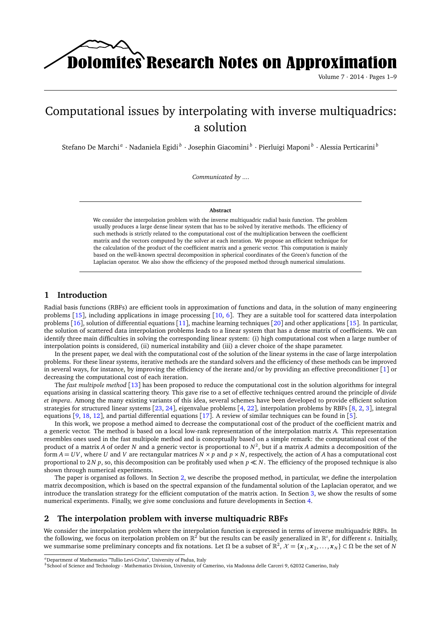Dolomites Research Notes on Approximation

Volume 7 · 2014 · Pages 1–9

# Computational issues by interpolating with inverse multiquadrics: a solution

Stefano De Marchi<sup>a</sup> · Nadaniela Egidi<sup>b</sup> · Josephin Giacomini<sup>b</sup> · Pierluigi Maponi<sup>b</sup> · Alessia Perticarini<sup>b</sup>

*Communicated by ....*

#### **Abstract**

We consider the interpolation problem with the inverse multiquadric radial basis function. The problem usually produces a large dense linear system that has to be solved by iterative methods. The efficiency of such methods is strictly related to the computational cost of the multiplication between the coefficient matrix and the vectors computed by the solver at each iteration. We propose an efficient technique for the calculation of the product of the coefficient matrix and a generic vector. This computation is mainly based on the well-known spectral decomposition in spherical coordinates of the Green's function of the Laplacian operator. We also show the efficiency of the proposed method through numerical simulations.

# **1 Introduction**

Radial basis functions (RBFs) are efficient tools in approximation of functions and data, in the solution of many engineering problems  $[15]$  $[15]$  $[15]$ , including applications in image processing  $[10, 6]$  $[10, 6]$  $[10, 6]$  $[10, 6]$  $[10, 6]$ . They are a suitable tool for scattered data interpolation problems [[16](#page-8-0)], solution of differential equations [[11](#page-7-3)], machine learning techniques [[20](#page-8-1)] and other applications [[15](#page-7-0)]. In particular, the solution of scattered data interpolation problems leads to a linear system that has a dense matrix of coefficients. We can identify three main difficulties in solving the corresponding linear system: (i) high computational cost when a large number of interpolation points is considered, (ii) numerical instability and (iii) a clever choice of the shape parameter.

In the present paper, we deal with the computational cost of the solution of the linear systems in the case of large interpolation problems. For these linear systems, iterative methods are the standard solvers and the efficiency of these methods can be improved in several ways, for instance, by improving the efficiency of the iterate and/or by providing an effective preconditioner [[1](#page-7-4)] or decreasing the computational cost of each iteration.

The *fast multipole method* [[13](#page-7-5)] has been proposed to reduce the computational cost in the solution algorithms for integral equations arising in classical scattering theory. This gave rise to a set of effective techniques centred around the principle of *divide et impera*. Among the many existing variants of this idea, several schemes have been developed to provide efficient solution strategies for structured linear systems [[23,](#page-8-2) [24](#page-8-3)], eigenvalue problems [[4,](#page-7-6) [22](#page-8-4)], interpolation problems by RBFs [[8,](#page-7-7) [2,](#page-7-8) [3](#page-7-9)], integral equations [[9,](#page-7-10) [18,](#page-8-5) [12](#page-7-11)], and partial differential equations [[17](#page-8-6)]. A review of similar techniques can be found in [[5](#page-7-12)].

In this work, we propose a method aimed to decrease the computational cost of the product of the coefficient matrix and a generic vector. The method is based on a local low-rank representation of the interpolation matrix *A*. This representation resembles ones used in the fast multipole method and is conceptually based on a simple remark: the computational cost of the product of a matrix *A* of order *N* and a generic vector is proportional to *N* 2 , but if a matrix *A* admits a decomposition of the form  $A = UV$ , where U and V are rectangular matrices  $N \times p$  and  $p \times N$ , respectively, the action of A has a computational cost proportional to 2*N p*, so, this decomposition can be profitably used when *p* ≪ *N*. The efficiency of the proposed technique is also shown through numerical experiments.

The paper is organised as follows. In Section [2,](#page-0-0) we describe the proposed method, in particular, we define the interpolation matrix decomposition, which is based on the spectral expansion of the fundamental solution of the Laplacian operator, and we introduce the translation strategy for the efficient computation of the matrix action. In Section [3,](#page-6-0) we show the results of some numerical experiments. Finally, we give some conclusions and future developments in Section [4.](#page-6-1)

# <span id="page-0-0"></span>**2 The interpolation problem with inverse multiquadric RBFs**

We consider the interpolation problem where the interpolation function is expressed in terms of inverse multiquadric RBFs. In the following, we focus on iterpolation problem on  $\mathbb{R}^2$  but the results can be easily generalized in  $\mathbb{R}^s$ , for different *s*. Initially, we summarise some preliminary concepts and fix notations. Let  $Ω$  be a subset of  $\mathbb{R}^2$ ,  $\mathcal{X} = \{x_1, x_2, \ldots, x_N\} \subset Ω$  be the set of  $N$ 

*<sup>a</sup>*Department of Mathematics "Tullio Levi-Civita", University of Padua, Italy

*<sup>b</sup>*School of Science and Technology - Mathematics Division, University of Camerino, via Madonna delle Carceri 9, 62032 Camerino, Italy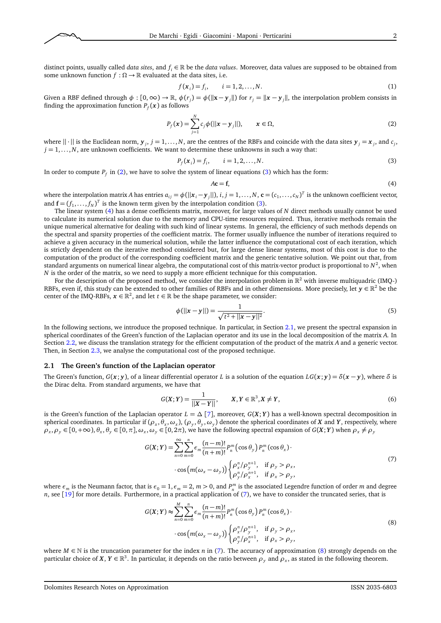

<span id="page-1-0"></span>
$$
f(\mathbf{x}_i) = f_i, \qquad i = 1, 2, ..., N. \tag{1}
$$

Given a RBF defined through  $\phi$  :  $[0,\infty) \to \mathbb{R}$ ,  $\phi(r_j) = \phi(||x - y_j||)$  for  $r_j = ||x - y_j||$ , the interpolation problem consists in finding the approximation function  $P_f(\bm{x})$  as follows

$$
P_f(x) = \sum_{j=1}^{N} c_j \phi(||x - y_j||), \qquad x \in \Omega,
$$
\n(2)

where  $||\cdot||$  is the Euclidean norm,  $y_j$ ,  $j = 1, ..., N$ , are the centres of the RBFs and coincide with the data sites  $y_j = x_j$ , and  $c_j$ ,  $j = 1, \ldots, N$ , are unknown coefficients. We want to determine these unknowns in such a way that:

$$
P_f(x_i) = f_i, \qquad i = 1, 2, ..., N. \tag{3}
$$

In order to compute  $P_f$  in [\(2\)](#page-1-0), we have to solve the system of linear equations [\(3\)](#page-1-1) which has the form:

<span id="page-1-2"></span><span id="page-1-1"></span>
$$
A\mathbf{c} = \mathbf{f},\tag{4}
$$

where the interpolation matrix A has entries  $a_{ij} = \phi(||x_i - y_j||)$ ,  $i, j = 1,..., N$ ,  $\mathbf{c} = (c_1,...,c_N)^T$  is the unknown coefficient vector, and  $\mathbf{f} = (f_1, \dots, f_N)^T$  is the known term given by the interpolation condition [\(3\)](#page-1-1).

The linear system [\(4\)](#page-1-2) has a dense coefficients matrix, moreover, for large values of *N* direct methods usually cannot be used to calculate its numerical solution due to the memory and CPU-time resources required. Thus, iterative methods remain the unique numerical alternative for dealing with such kind of linear systems. In general, the efficiency of such methods depends on the spectral and sparsity properties of the coefficient matrix. The former usually influence the number of iterations required to achieve a given accuracy in the numerical solution, while the latter influence the computational cost of each iteration, which is strictly dependent on the iterative method considered but, for large dense linear systems, most of this cost is due to the computation of the product of the corresponding coefficient matrix and the generic tentative solution. We point out that, from standard arguments on numerical linear algebra, the computational cost of this matrix-vector product is proportional to  $N^2$ , when *N* is the order of the matrix, so we need to supply a more efficient technique for this computation.

For the description of the proposed method, we consider the interpolation problem in  $\mathbb{R}^2$  with inverse multiquadric (IMQ-) RBFs, even if, this study can be extended to other families of RBFs and in other dimensions. More precisely, let  $y \in \mathbb{R}^2$  be the center of the IMQ-RBFs,  $x \in \mathbb{R}^2$ , and let  $t \in \mathbb{R}$  be the shape parameter, we consider:

<span id="page-1-6"></span>
$$
\phi(||x - y||) = \frac{1}{\sqrt{t^2 + ||x - y||^2}}.
$$
\n(5)

In the following sections, we introduce the proposed technique. In particular, in Section [2.1,](#page-1-3) we present the spectral expansion in spherical coordinates of the Green's function of the Laplacian operator and its use in the local decomposition of the matrix *A*. In Section [2.2,](#page-2-0) we discuss the translation strategy for the efficient computation of the product of the matrix *A* and a generic vector. Then, in Section [2.3,](#page-4-0) we analyse the computational cost of the proposed technique.

### <span id="page-1-3"></span>**2.1 The Green's function of the Laplacian operator**

The Green's function,  $G(x; y)$ , of a linear differential operator *L* is a solution of the equation  $LG(x; y) = \delta(x - y)$ , where  $\delta$  is the Dirac delta. From standard arguments, we have that

<span id="page-1-4"></span>
$$
G(X; Y) = \frac{1}{||X - Y||}, \qquad X, Y \in \mathbb{R}^{3}, X \neq Y,
$$
\n(6)

is the Green's function of the Laplacian operator  $L = \Delta [7]$  $L = \Delta [7]$  $L = \Delta [7]$ , moreover,  $G(X;Y)$  has a well-known spectral decomposition in spherical coordinates. In particular if  $(\rho_x,\theta_x,\omega_x)$ ,  $(\rho_y,\theta_y,\omega_y)$  denote the spherical coordinates of X and Y, respectively, where  $\rho_x, \rho_y \in [0, +\infty), \theta_x, \theta_y \in [0, \pi], \omega_x, \omega_y \in [0, 2\pi)$ , we have the following spectral expansion of  $G(X;Y)$  when  $\rho_x \neq \rho_y$ 

$$
G(X;Y) = \sum_{n=0}^{\infty} \sum_{m=0}^{n} \epsilon_m \frac{(n-m)!}{(n+m)!} P_n^m \left(\cos \theta_y\right) P_n^m \left(\cos \theta_x\right) \cdot \cos\left(m(\omega_x - \omega_y)\right) \begin{cases} \rho_x^n / \rho_y^{n+1}, & \text{if } \rho_y > \rho_x, \\ \rho_y^n / \rho_x^{n+1}, & \text{if } \rho_x > \rho_y, \end{cases}
$$
(7)

where  $\epsilon_m$  is the Neumann factor, that is  $\epsilon_0 = 1$ ,  $\epsilon_m = 2$ ,  $m > 0$ , and  $P_n^m$  is the associated Legendre function of order *m* and degree *n*, see [[19](#page-8-7)] for more details. Furthermore, in a practical application of [\(7\)](#page-1-4), we have to consider the truncated series, that is

<span id="page-1-5"></span>
$$
G(X;Y) \approx \sum_{n=0}^{M} \sum_{m=0}^{n} \epsilon_m \frac{(n-m)!}{(n+m)!} P_n^m \left(\cos \theta_y\right) P_n^m \left(\cos \theta_x\right) \cdot \cos\left(m(\omega_x - \omega_y)\right) \begin{cases} \rho_x^n / \rho_y^{n+1}, & \text{if } \rho_y > \rho_x, \\ \rho_y^n / \rho_x^{n+1}, & \text{if } \rho_x > \rho_y, \end{cases} \tag{8}
$$

where  $M \in \mathbb{N}$  is the truncation parameter for the index *n* in [\(7\)](#page-1-4). The accuracy of approximation [\(8\)](#page-1-5) strongly depends on the particular choice of  $X, Y \in \mathbb{R}^3$ . In particular, it depends on the ratio between  $\rho_y$  and  $\rho_x$ , as stated in the following theorem.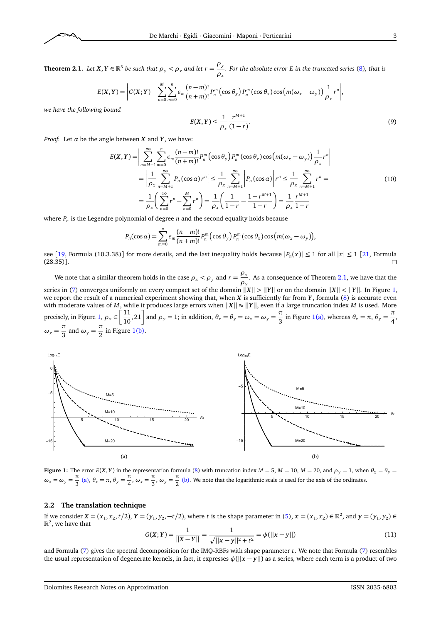

<span id="page-2-1"></span>**Theorem 2.1.** *Let*  $X, Y \in \mathbb{R}^3$  *be such that*  $\rho_y < \rho_x$  *and let*  $r = \frac{\rho_y}{\rho_y}$  $\frac{D}{\rho_x}$ . For the absolute error E in the truncated series [\(8\)](#page-1-5), that is

$$
E(X,Y) = \left| G(X;Y) - \sum_{n=0}^{M} \sum_{m=0}^{n} \epsilon_m \frac{(n-m)!}{(n+m)!} P_n^m(\cos \theta_y) P_n^m(\cos \theta_x) \cos \left( m(\omega_x - \omega_y) \right) \frac{1}{\rho_x} r^n \right|,
$$

*we have the following bound*

 $E(X, Y) \leq \frac{1}{2}$ *ρx r M*+1  $\overline{(1-r)}$ .  $(9)$ 

*Proof.* Let  $\alpha$  be the angle between  $X$  and  $Y$ , we have:

$$
E(X,Y) = \left| \sum_{n=M+1}^{\infty} \sum_{m=0}^{n} \epsilon_m \frac{(n-m)!}{(n+m)!} P_n^m(\cos \theta_y) P_n^m(\cos \theta_x) \cos \left( m(\omega_x - \omega_y) \right) \frac{1}{\rho_x} r^n \right|
$$
  
= 
$$
\left| \frac{1}{\rho_x} \sum_{n=M+1}^{\infty} P_n(\cos \alpha) r^n \right| \leq \frac{1}{\rho_x} \sum_{n=M+1}^{\infty} \left| P_n(\cos \alpha) \right| r^n \leq \frac{1}{\rho_x} \sum_{n=M+1}^{\infty} r^n =
$$
  
= 
$$
\frac{1}{\rho_x} \left( \sum_{n=0}^{\infty} r^n - \sum_{n=0}^{M} r^n \right) = \frac{1}{\rho_x} \left( \frac{1}{1-r} - \frac{1-r^{M+1}}{1-r} \right) = \frac{1}{\rho_x} \frac{r^{M+1}}{1-r}
$$
 (10)

where *P<sup>n</sup>* is the Legendre polynomial of degree *n* and the second equality holds because

$$
P_n(\cos\alpha) = \sum_{m=0}^n \epsilon_m \frac{(n-m)!}{(n+m)!} P_n^m(\cos\theta_y) P_n^m(\cos\theta_x) \cos\big(m(\omega_x - \omega_y)\big),
$$

see [[19,](#page-8-7) Formula (10.3.38)] for more details, and the last inequality holds because  $|P_n(x)| \le 1$  for all  $|x| \le 1$  [[21,](#page-8-8) Formula (28.35)].

We note that a similar theorem holds in the case  $\rho_x < \rho_y$  and  $r = \frac{\rho_x}{g}$  $\frac{P_{\perp}}{P_{\gamma}}$ . As a consequence of Theorem [2.1,](#page-2-1) we have that the series in [\(7\)](#page-1-4) converges uniformly on every compact set of the domain ||*X*|| *>* ||*Y*|| or on the domain ||*X*|| *<* ||*Y*||. In Figure [1,](#page-2-2) we report the result of a numerical experiment showing that, when *X* is sufficiently far from *Y*, formula [\(8\)](#page-1-5) is accurate even with moderate values of *M*, while it produces large errors when  $||X|| ≈ ||Y||$ , even if a large truncation index *M* is used. More precisely, in Figure [1,](#page-2-2)  $\rho_x \in \left[\frac{11}{10}\right]$  $\left[\frac{11}{10}, 21\right]$  and  $\rho_y = 1$ ; in addition,  $\theta_x = \theta_y = \omega_x = \omega_y = \frac{\pi}{3}$  $\frac{\pi}{3}$  in Figure [1](#page-2-2)[\(a\),](#page-2-3) whereas  $\theta_x = \pi$ ,  $\theta_y = \frac{\pi}{4}$  $\frac{1}{4}$  $\omega_x = \frac{\pi}{2}$  $\frac{\pi}{3}$  and  $\omega_y = \frac{\pi}{2}$  $\frac{1}{2}$  $\frac{1}{2}$  $\frac{1}{2}$  in Figure 1[\(b\).](#page-2-4)

<span id="page-2-3"></span><span id="page-2-2"></span>

**Figure 1:** The error  $E(X, Y)$  in the representation formula [\(8\)](#page-1-5) with truncation index  $M = 5$ ,  $M = 10$ ,  $M = 20$ , and  $\rho_y = 1$ , when  $\theta_x = \theta_y = 1$  $\omega_x = \omega_y = \frac{\pi}{2}$  $\frac{\pi}{3}$  [\(a\),](#page-2-3)  $\theta_x = \pi$ ,  $\theta_y = \frac{\pi}{4}$  $\frac{\pi}{4}$ ,  $\omega_x = \frac{\pi}{3}$  $\frac{\pi}{3}$ ,  $\omega_y = \frac{\pi}{2}$  $\frac{1}{2}$  [\(b\).](#page-2-4) We note that the logarithmic scale is used for the axis of the ordinates.

## <span id="page-2-0"></span>**2.2 The translation technique**

If we consider  $X = (x_1, x_2, t/2)$ ,  $Y = (y_1, y_2, -t/2)$ , where t is the shape parameter in [\(5\)](#page-1-6),  $x = (x_1, x_2) \in \mathbb{R}^2$ , and  $y = (y_1, y_2) \in \mathbb{R}^2$  $\mathbb{R}^2$ , we have that

<span id="page-2-4"></span>
$$
G(X;Y) = \frac{1}{||X - Y||} = \frac{1}{\sqrt{||x - y||^2 + t^2}} = \phi(||x - y||)
$$
\n(11)

and Formula [\(7\)](#page-1-4) gives the spectral decomposition for the IMQ-RBFs with shape parameter *t*. We note that Formula [\(7\)](#page-1-4) resembles the usual representation of degenerate kernels, in fact, it expresses  $\phi(||x - y||)$  as a series, where each term is a product of two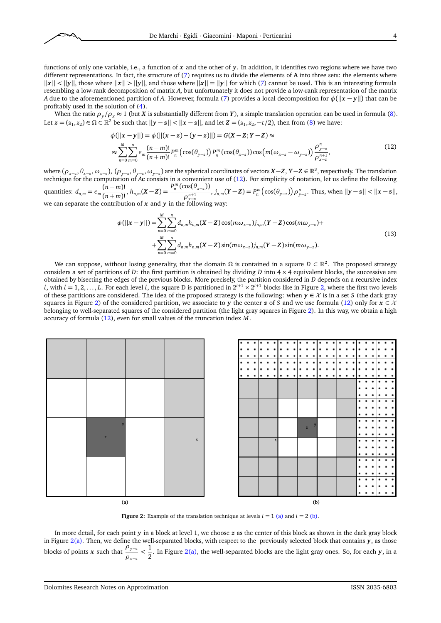functions of only one variable, i.e., a function of *x* and the other of *y*. In addition, it identifies two regions where we have two different representations. In fact, the structure of [\(7\)](#page-1-4) requires us to divide the elements of **A** into three sets: the elements where  $||x|| < ||y||$ , those where  $||x|| > ||y||$ , and those where  $||x|| = ||y||$  for which [\(7\)](#page-1-4) cannot be used. This is an interesting formula resembling a low-rank decomposition of matrix *A*, but unfortunately it does not provide a low-rank representation of the matrix *A* due to the aforementioned partition of *A*. However, formula [\(7\)](#page-1-4) provides a local decomposition for *φ*(||*x* − *y*||) that can be profitably used in the solution of [\(4\)](#page-1-2).

When the ratio  $\rho_y/\rho_x \approx 1$  (but *X* is substantially different from *Y*), a simple translation operation can be used in formula [\(8\)](#page-1-5). Let  $\mathbf{z} = (z_1, z_2) \in \Omega \subset \mathbb{R}^2$  be such that  $||\mathbf{y} - \mathbf{z}|| < ||\mathbf{x} - \mathbf{z}||$ , and let  $\mathbf{Z} = (z_1, z_2, -t/2)$ , then from [\(8\)](#page-1-5) we have:

<span id="page-3-0"></span>
$$
\phi(||x - y||) = \phi(||(x - z) - (y - z)||) = G(X - Z; Y - Z) \approx
$$
\n
$$
\approx \sum_{n=0}^{M} \sum_{m=0}^{n} \epsilon_m \frac{(n-m)!}{(n+m)!} p_n^m \left( \cos(\theta_{y-z}) \right) P_n^m \left( \cos(\theta_{x-z}) \right) \cos\left( m(\omega_{x-z} - \omega_{y-z}) \right) \frac{\rho_{y-z}^n}{\rho_{x-z}^{n+1}},
$$
\n(12)

where  $(\rho_{x-x},\theta_{x-z},\omega_{x-z})$ ,  $(\rho_{y-z},\theta_{y-z},\omega_{y-z})$  are the spherical coordinates of vectors  $X-Z$ ,  $Y-Z\in\mathbb{R}^3$ , respectively. The translation technique for the computation of *A***c** consists in a convenient use of [\(12\)](#page-3-0). For simplicity of notation, let us define the following quantities:  $d_{n,m} = \epsilon_m \frac{(n-m)!}{(n+m)!}$  $\frac{(n-m)!}{(n+m)!}, h_{n,m}(X-Z) = \frac{P_n^m(\cos(\theta_{X-z}))}{\rho_{X-z}^{n+1}}$  $\frac{\rho_{\infty}(G_{X-z})}{\rho_{X-z}^{n+1}}$ ,  $j_{n,m}(Y-Z) = P_n^m(\cos(\theta_{y-z})) \rho_{y-z}^n$ . Thus, when  $||y-z|| < ||x-z||$ , we can separate the contribution of *x* and *y* in the following way:

<span id="page-3-4"></span>
$$
\phi(||\mathbf{x} - \mathbf{y}||) = \sum_{n=0}^{M} \sum_{m=0}^{n} d_{n,m} h_{n,m}(X - Z) \cos(m\omega_{x-z}) j_{n,m}(Y - Z) \cos(m\omega_{y-z}) + + \sum_{n=0}^{M} \sum_{m=0}^{n} d_{n,m} h_{n,m}(X - Z) \sin(m\omega_{x-z}) j_{n,m}(Y - Z) \sin(m\omega_{y-z}).
$$
\n(13)

We can suppose, without losing generality, that the domain Ω is contained in a square *D* ⊂ R<sup>2</sup>. The proposed strategy considers a set of partitions of *D*: the first partition is obtained by dividing *D* into 4 × 4 equivalent blocks, the successive are obtained by bisecting the edges of the previous blocks. More precisely, the partition considered in *D* depends on a recursive index *l*, with *l* = 1, [2,](#page-3-1) . . . , *L*. For each level *l*, the square D is partitioned in  $2^{l+1} \times 2^{l+1}$  blocks like in Figure 2, where the first two levels of these partitions are considered. The idea of the proposed strategy is the following: when  $y \in \mathcal{X}$  is in a set *S* (the dark gray squares in Figure [2\)](#page-3-1) of the considered partition, we associate to *y* the center *z* of *S* and we use formula [\(12\)](#page-3-0) only for  $x \in \mathcal{X}$ belonging to well-separated squares of the considered partition (the light gray squares in Figure [2\)](#page-3-1). In this way, we obtain a high accuracy of formula [\(12\)](#page-3-0), even for small values of the truncation index *M*.

<span id="page-3-2"></span><span id="page-3-1"></span>x y z **(a) (b)**



<span id="page-3-3"></span>**Figure 2:** Example of the translation technique at levels  $l = 1$  [\(a\)](#page-3-2) and  $l = 2$  [\(b\).](#page-3-3)

In more detail, for each point *y* in a block at level 1, we choose *z* as the center of this block as shown in the dark gray block in Figure [2](#page-3-1)[\(a\).](#page-3-2) Then, we define the well-separated blocks, with respect to the previously selected block that contains *y*, as those blocks of points *x* such that  $\frac{\rho_{y-z}}{z}$  $\frac{\rho_{y-z}}{\rho_{x-z}} < \frac{1}{2}$ 2 . In Figure [2](#page-3-1)[\(a\),](#page-3-2) the well-separated blocks are the light gray ones. So, for each *y*, in a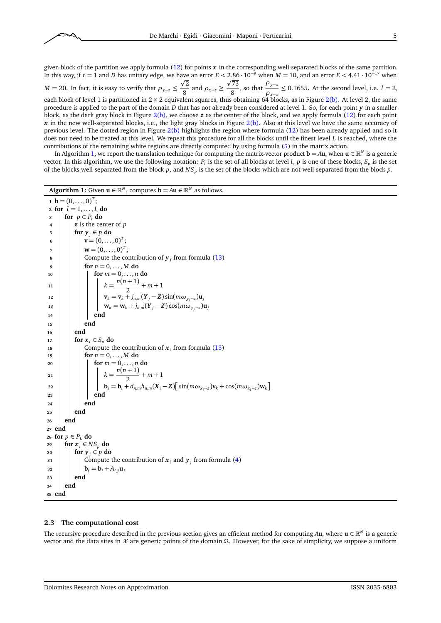given block of the partition we apply formula [\(12\)](#page-3-0) for points *x* in the corresponding well-separated blocks of the same partition. In this way, if  $t = 1$  and *D* has unitary edge, we have an error  $E < 2.86 \cdot 10^{-9}$  when  $M = 10$ , and an error  $E < 4.41 \cdot 10^{-17}$  when *M* = 20. In fact, it is easy to verify that  $\rho_{y-z} \leq \frac{\sqrt{2}}{8}$  $\frac{\sqrt{2}}{8}$  and  $\rho_{x-z} \ge \frac{\sqrt{73}}{8}$  $\sqrt{\frac{73}{8}}$ , so that  $\frac{\rho_{y-z}}{\rho_{x-z}}$  $\frac{P y - z}{P x - z} \le 0.1655$ . At the second level, i.e. *l* = 2, each block of level 1 is partitioned in [2](#page-3-1) × 2 equivalent squares, thus obtaining 64 blocks, as in Figure 2[\(b\).](#page-3-3) At level 2, the same procedure is applied to the part of the domain *D* that has not already been considered at level 1. So, for each point *y* in a smaller block, as the dark gray block in Figure [2](#page-3-1)[\(b\),](#page-3-3) we choose *z* as the center of the block, and we apply formula [\(12\)](#page-3-0) for each point *x* in the new well-separated blocks, i.e., the light gray blocks in Figure [2](#page-3-1)[\(b\).](#page-3-3) Also at this level we have the same accuracy of previous level. The dotted region in Figure [2](#page-3-1)[\(b\)](#page-3-3) highlights the region where formula [\(12\)](#page-3-0) has been already applied and so it does not need to be treated at this level. We repeat this procedure for all the blocks until the finest level *L* is reached, where the contributions of the remaining white regions are directly computed by using formula [\(5\)](#page-1-6) in the matrix action.

In Algorithm [1,](#page-4-1) we report the translation technique for computing the matrix-vector product  $b = Au$ , when  $u \in \mathbb{R}^N$  is a generic vector. In this algorithm, we use the following notation:  $P_l$  is the set of all blocks at level *l*, *p* is one of these blocks,  $S_p$  is the set of the blocks well-separated from the block *p*, and *NS<sup>p</sup>* is the set of the blocks which are not well-separated from the block *p*.

```
Algorithm 1: Given \mathbf{u} \in \mathbb{R}^N, computes \mathbf{b} = A\mathbf{u} \in \mathbb{R}^N as follows.

 2 for l = 1, . . . , L do
 3 for p \in P_1 do
 \boldsymbol{z} z is the center of p
 5 for y_i \in p do
  6 \vert \vert \ \vert \ \mathbf{v} = (0, \ldots, 0)^T;\mathbf{v} = (0, \ldots, 0)^T;8 \vert \vert \vert Compute the contribution of y_j(13)
 9 for n = 0, ..., M do
 10 \vert \vert \vert \vert for m = 0, ..., n do
 k = \frac{n(n+1)}{2}\frac{1}{2} + m + 1
 12 c v<sub>k</sub> = v<sub>k</sub> + j<sub>n</sub>m(<b>Y<sub>j</sub> − Z) sin(m\omega_{y_j-z})u<sub>j</sub>
 13 w<sub>k</sub> = w<sub>k</sub> + j<sub>n,m</sub>(Y<sub>j</sub> − Z) cos(m\omega_{y_j-z})u<sub>j</sub>
 14 end
15 end
16 end
\mathbf{17} for \mathbf{x}_i \in S_n do
 18 \vert \vert Compute the contribution of x_i(13)
19 for n = 0, ..., M do
20 for m = 0, . . . , n do
 k = \frac{n(n+1)}{2}\frac{1}{2} + m + 1
 22 \left| \begin{array}{c} | \\ | \end{array} \right| \left| \begin{array}{c} \mathbf{b}_i = \mathbf{b}_i + d_{n,m} h_{n,m}(X_i - Z) \end{array} \right| sin(m\omega_{x_i - z})\mathbf{v}_k + \cos(m\omega_{x_i - z})\mathbf{w}_k23 \parallel \parallel end
_{24} \parallel \parallel end
25 end
26 end
27 end
28 for p \in P_L do
29 for x_i \in NS_p do
30 \mid \text{for } y_i \in p \text{ do}31 \vert \vert Compute the contribution of x_i and y_j(4)
\mathbf{b}_{i} = \mathbf{b}_{i} + A_{i,i} \mathbf{u}_{i}33 end
34 end
35 end
```
# <span id="page-4-1"></span><span id="page-4-0"></span>**2.3 The computational cost**

The recursive procedure described in the previous section gives an efficient method for computing A**u**, where  $\mathbf{u} \in \mathbb{R}^N$  is a generic vector and the data sites in X are generic points of the domain *Ω*. However, for the sake of simplicity, we suppose a uniform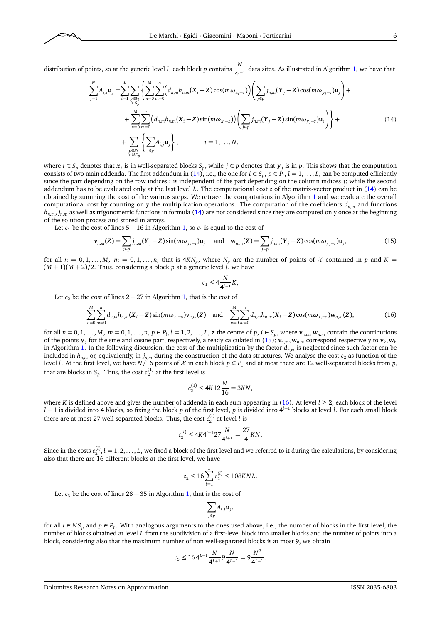distribution of points, so at the generic level *l*, each block *p* contains  $\frac{N}{4^{l+1}}$  data sites. As illustrated in Algorithm [1,](#page-4-1) we have that

$$
\sum_{j=1}^{N} A_{i,j} \mathbf{u}_{j} = \sum_{l=1}^{L} \sum_{\substack{p \in P_{l} \\ i \in S_{p}}} \left\{ \sum_{n=0}^{M} \sum_{m=0}^{n} \left( d_{n,m} h_{n,m}(X_{i}-Z) \cos(m\omega_{x_{i}-z}) \right) \left( \sum_{j \in p} j_{n,m}(Y_{j}-Z) \cos(m\omega_{y_{j}-z}) \mathbf{u}_{j} \right) + \\ + \sum_{n=0}^{M} \sum_{m=0}^{n} \left( d_{n,m} h_{n,m}(X_{i}-Z) \sin(m\omega_{x_{i}-z}) \right) \left( \sum_{j \in p} j_{n,m}(Y_{j}-Z) \sin(m\omega_{y_{j}-z}) \mathbf{u}_{j} \right) \right\} + \\ + \sum_{\substack{p \in P_{l} \\ i \in N_{Sp}}} \left\{ \sum_{j \in p} A_{i,j} \mathbf{u}_{j} \right\}, \qquad i=1,\ldots,N,
$$
\n(14)

where  $i \in S_p$  denotes that  $x_i$  is in well-separated blocks  $S_p$ , while  $j \in p$  denotes that  $y_j$  is in  $p$ . This shows that the computation consists of two main addenda. The first addendum in [\(14\)](#page-5-0), i.e., the one for  $i \in S_p$ ,  $p \in P_l$ ,  $l = 1, \ldots, L$ , can be computed efficiently since the part depending on the row indices *i* is independent of the part depending on the column indices *j*; while the second addendum has to be evaluated only at the last level *L*. The computational cost *c* of the matrix-vector product in [\(14\)](#page-5-0) can be obtained by summing the cost of the various steps. We retrace the computations in Algorithm [1](#page-4-1) and we evaluate the overall computational cost by counting only the multiplication operations. The computation of the coefficients  $d_{n,m}$  and functions  $h_{n,m}$ ,  $j_{n,m}$  as well as trigonometric functions in formula [\(14\)](#page-5-0) are not considered since they are computed only once at the beginning of the solution process and stored in arrays.

Let  $c_1$  be the cost of lines  $5 - 16$  in Algorithm [1,](#page-4-1) so  $c_1$  is equal to the cost of

$$
\mathbf{v}_{n,m}(Z) = \sum_{j \in p} j_{n,m}(Y_j - Z) \sin(m\omega_{y_j - z}) \mathbf{u}_j \quad \text{and} \quad \mathbf{w}_{n,m}(Z) = \sum_{j \in p} j_{n,m}(Y_j - Z) \cos(m\omega_{y_j - z}) \mathbf{u}_j,
$$
(15)

for all  $n = 0, 1, \ldots, M$ ,  $m = 0, 1, \ldots, n$ , that is  $4KN_p$ , where  $N_p$  are the number of points of X contained in p and  $K =$  $(M + 1)(M + 2)/2$ . Thus, considering a block *p* at a generic level *l*, we have

<span id="page-5-2"></span><span id="page-5-1"></span><span id="page-5-0"></span>
$$
c_1 \le 4\frac{N}{4^{l+1}}K,
$$

Let  $c_2$  be the cost of lines 2 − 27 in Algorithm [1,](#page-4-1) that is the cost of

$$
\sum_{n=0}^{M} \sum_{m=0}^{n} d_{n,m} h_{n,m}(X_i - Z) \sin(m\omega_{x_i - z}) \mathbf{v}_{n,m}(Z) \text{ and } \sum_{n=0}^{M} \sum_{m=0}^{n} d_{n,m} h_{n,m}(X_i - Z) \cos(m\omega_{x_i - z}) \mathbf{w}_{n,m}(Z), \tag{16}
$$

for all  $n = 0, 1, ..., M$ ,  $m = 0, 1, ..., n$ ,  $p \in P_l$ ,  $l = 1, 2, ..., L$ ,  $\boldsymbol{z}$  the centre of  $p$ ,  $i \in S_p$ , where  $\mathbf{v}_{n,m}$ ,  $\mathbf{w}_{n,m}$  contain the contributions of the points  $\mathbf{y}_j$  for the sine and cosine part, respectively, already calculated in [\(15\)](#page-5-1);  $\mathbf{v}_{n,m}$ ,  $\mathbf{w}_{n,m}$  correspond respectively to  $\mathbf{v}_k$ ,  $\mathbf{w}_k$ in Algorithm [1.](#page-4-1) In the following discussion, the cost of the multiplication by the factor  $d_{n,m}$  is neglected since such factor can be included in  $h_{n,m}$  or, equivalently, in  $j_{n,m}$  during the construction of the data structures. We analyse the cost  $c_2$  as function of the level *l*. At the first level, we have  $N/16$  points of  $X$  in each block  $p \in P_1$  and at most there are 12 well-separated blocks from  $p$ , that are blocks in  $S_p$ . Thus, the cost  $c_2^{(1)}$  at the first level is

$$
c_2^{(1)} \le 4K12 \frac{N}{16} = 3KN,
$$

where *K* is defined above and gives the number of addenda in each sum appearing in [\(16\)](#page-5-2). At level  $l \geq 2$ , each block of the level *l* − 1 is divided into 4 blocks, so fixing the block *p* of the first level, *p* is divided into 4<sup>*l*-1</sup> blocks at level *l*. For each small block there are at most 27 well-separated blocks. Thus, the cost  $c_2^{(l)}$  at level *l* is

$$
c_2^{(l)} \le 4K4^{l-1}27\frac{N}{4^{l+1}} = \frac{27}{4}KN.
$$

Since in the costs  $c_2^{(l)}$ ,  $l = 1, 2, ..., L$ , we fixed a block of the first level and we referred to it during the calculations, by considering also that there are 16 different blocks at the first level, we have

$$
c_2 \le 16 \sum_{l=1}^{L} c_2^{(l)} \le 108 K N L.
$$

Let  $c_3$  be the cost of lines  $28 - 35$  in Algorithm [1,](#page-4-1) that is the cost of

$$
\sum_{j\in p}A_{i,j}\mathbf{u}_{j},
$$

for all  $i \in NS_p$  and  $p \in P_L$ . With analogous arguments to the ones used above, i.e., the number of blocks in the first level, the number of blocks obtained at level *L* from the subdivision of a first-level block into smaller blocks and the number of points into a block, considering also that the maximum number of non well-separated blocks is at most 9, we obtain

$$
c_3 \leq 16 \, 4^{L-1} \frac{N}{4^{L+1}} 9 \frac{N}{4^{L+1}} = 9 \frac{N^2}{4^{L+1}}.
$$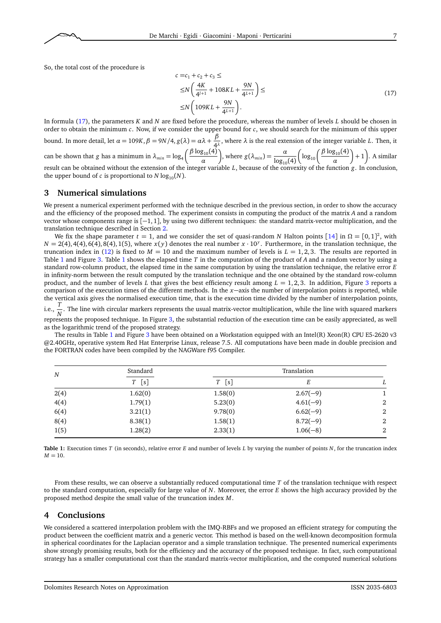

<span id="page-6-2"></span>
$$
c = c_1 + c_2 + c_3 \le
$$
  
\n
$$
\leq N \left( \frac{4K}{4^{l+1}} + 108KL + \frac{9N}{4^{l+1}} \right) \le
$$
  
\n
$$
\leq N \left( 109KL + \frac{9N}{4^{l+1}} \right).
$$
\n(17)

In formula [\(17\)](#page-6-2), the parameters *K* and *N* are fixed before the procedure, whereas the number of levels *L* should be chosen in order to obtain the minimum *c*. Now, if we consider the upper bound for *c*, we should search for the minimum of this upper bound. In more detail, let  $\alpha = 109K$ ,  $\beta = 9N/4$ ,  $g(\lambda) = \alpha\lambda + \frac{\beta}{\lambda^2}$  $\frac{P}{4\lambda}$ , where  $\lambda$  is the real extension of the integer variable *L*. Then, it can be shown that *g* has a minimum in  $\lambda_{min} = \log_4 \left( \frac{\beta \log_{10}(4)}{\alpha} \right)$ *α* ), where  $g(\lambda_{min}) = \frac{\alpha}{\log_{10}(4)}$  $\bigg(\log_{10}\bigg(\frac{\beta \log_{10}(4)}{\alpha}\bigg)$ *α*  $+ 1$ . A similar result can be obtained without the extension of the integer variable *L*, because of the convexity of the function *g*. In conclusion, the upper bound of *c* is proportional to  $N \log_{10}(N)$ .

## <span id="page-6-0"></span>**3 Numerical simulations**

We present a numerical experiment performed with the technique described in the previous section, in order to show the accuracy and the efficiency of the proposed method. The experiment consists in computing the product of the matrix *A* and a random vector whose components range is [−1, 1], by using two different techniques: the standard matrix-vector multiplication, and the translation technique described in Section [2.](#page-0-0)

We fix the shape parameter  $t = 1$ , and we consider the set of quasi-random *N* Halton points [[14](#page-7-14)] in  $\Omega = [0,1]^2$ , with  $N = 2(4)$ , 4(4), 6(4), 8(4), 1(5), where  $x(y)$  denotes the real number  $x \cdot 10^y$ . Furthermore, in the translation technique, the truncation index in [\(12\)](#page-3-0) is fixed to  $M = 10$  and the maximum number of levels is  $L = 1,2,3$ . The results are reported in Table [1](#page-6-3) and Figure [3.](#page-7-15) Table [1](#page-6-3) shows the elapsed time *T* in the computation of the product of *A* and a random vector by using a standard row-column product, the elapsed time in the same computation by using the translation technique, the relative error *E* in infinity-norm between the result computed by the translation technique and the one obtained by the standard row-column product, and the number of levels *L* that gives the best efficiency result among  $L = 1,2,3$  $L = 1,2,3$ . In addition, Figure 3 reports a comparison of the execution times of the different methods. In the *x*−axis the number of interpolation points is reported, while the vertical axis gives the normalised execution time, that is the execution time divided by the number of interpolation points,

i.e.,  $\frac{T}{N}$ . The line with circular markers represents the usual matrix-vector multiplication, while the line with squared markers represents the proposed technique. In Figure [3,](#page-7-15) the substantial reduction of the execution time can be easily appreciated, as well as the logarithmic trend of the proposed strategy.

The results in Table [1](#page-6-3) and Figure [3](#page-7-15) have been obtained on a Workstation equipped with an Intel(R) Xeon(R) CPU E5-2620 v3 @2.40GHz, operative system Red Hat Enterprise Linux, release 7.5. All computations have been made in double precision and the FORTRAN codes have been compiled by the NAGWare f95 Compiler.

<span id="page-6-3"></span>

| $\boldsymbol{N}$ | Standard<br>[s]<br>T | Translation |            |   |
|------------------|----------------------|-------------|------------|---|
|                  |                      | [s]<br>T    |            | L |
| 2(4)             | 1.62(0)              | 1.58(0)     | $2.67(-9)$ |   |
| 4(4)             | 1.79(1)              | 5.23(0)     | $4.61(-9)$ | 2 |
| 6(4)             | 3.21(1)              | 9.78(0)     | $6.62(-9)$ | 2 |
| 8(4)             | 8.38(1)              | 1.58(1)     | $8.72(-9)$ | 2 |
| 1(5)             | 1.28(2)              | 2.33(1)     | $1.06(-8)$ | 2 |

**Table 1:** Execution times *T* (in seconds), relative error *E* and number of levels *L* by varying the number of points *N*, for the truncation index  $M = 10$ .

From these results, we can observe a substantially reduced computational time *T* of the translation technique with respect to the standard computation, especially for large value of *N*. Moreover, the error *E* shows the high accuracy provided by the proposed method despite the small value of the truncation index *M*.

## <span id="page-6-1"></span>**4 Conclusions**

We considered a scattered interpolation problem with the IMQ-RBFs and we proposed an efficient strategy for computing the product between the coefficient matrix and a generic vector. This method is based on the well-known decomposition formula in spherical coordinates for the Laplacian operator and a simple translation technique. The presented numerical experiments show strongly promising results, both for the efficiency and the accuracy of the proposed technique. In fact, such computational strategy has a smaller computational cost than the standard matrix-vector multiplication, and the computed numerical solutions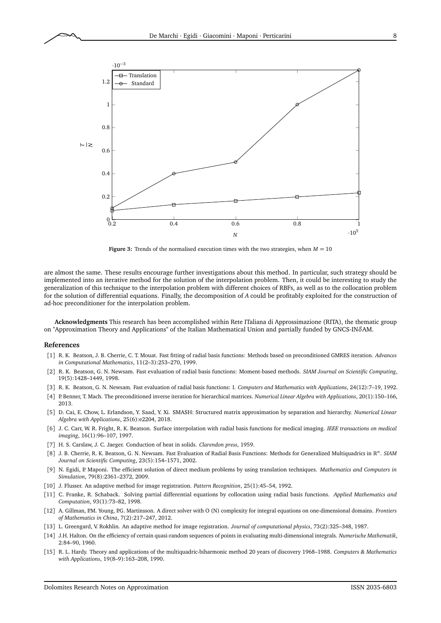<span id="page-7-15"></span>

**Figure 3:** Trends of the normalised execution times with the two strategies, when  $M = 10$ 

are almost the same. These results encourage further investigations about this method. In particular, such strategy should be implemented into an iterative method for the solution of the interpolation problem. Then, it could be interesting to study the generalization of this technique to the interpolation problem with different choices of RBFs, as well as to the collocation problem for the solution of differential equations. Finally, the decomposition of *A* could be profitably exploited for the construction of ad-hoc preconditioner for the interpolation problem.

**Acknowledgments** This research has been accomplished within Rete ITaliana di Approssimazione (RITA), the thematic group on "Approximation Theory and Applications" of the Italian Mathematical Union and partially funded by GNCS-IN*δ*AM.

#### **References**

- <span id="page-7-4"></span>[1] R. K. Beatson, J. B. Cherrie, C. T. Mouat. Fast fitting of radial basis functions: Methods based on preconditioned GMRES iteration. *Advances in Computational Mathematics*, 11(2–3):253–270, 1999.
- <span id="page-7-8"></span>[2] R. K. Beatson, G. N. Newsam. Fast evaluation of radial basis functions: Moment-based methods. *SIAM Journal on Scientific Computing*, 19(5):1428–1449, 1998.
- <span id="page-7-9"></span>[3] R. K. Beatson, G. N. Newsam. Fast evaluation of radial basis functions: I. *Computers and Mathematics with Applications*, 24(12):7–19, 1992.
- <span id="page-7-6"></span>[4] P. Benner, T. Mach. The preconditioned inverse iteration for hierarchical matrices. *Numerical Linear Algebra with Applications*, 20(1):150–166, 2013.
- <span id="page-7-12"></span>[5] D. Cai, E. Chow, L. Erlandson, Y. Saad, Y. Xi. SMASH: Structured matrix approximation by separation and hierarchy. *Numerical Linear Algebra with Applications*, 25(6):e2204, 2018.
- <span id="page-7-2"></span>[6] J. C. Carr, W. R. Fright, R. K. Beatson. Surface interpolation with radial basis functions for medical imaging. *IEEE transactions on medical imaging*, 16(1):96–107, 1997.
- <span id="page-7-13"></span>[7] H. S. Carslaw, J. C. Jaeger. Conduction of heat in solids. *Clarendon press*, 1959.
- <span id="page-7-7"></span>[8] J. B. Cherrie, R. K. Beatson, G. N. Newsam. Fast Evaluation of Radial Basis Functions: Methods for Generalized Multiquadrics in R *n* . *SIAM Journal on Scientific Computing*, 23(5):154–1571, 2002.
- <span id="page-7-10"></span>[9] N. Egidi, P. Maponi. The efficient solution of direct medium problems by using translation techniques. *Mathematics and Computers in Simulation*, 79(8):2361–2372, 2009.
- <span id="page-7-1"></span>[10] J. Flusser. An adaptive method for image registration. *Pattern Recognition*, 25(1):45–54, 1992.
- <span id="page-7-3"></span>[11] C. Franke, R. Schaback. Solving partial differential equations by collocation using radial basis functions. *Applied Mathematics and Computation*, 93(1):73–82, 1998.
- <span id="page-7-11"></span>[12] A. Gillman, P.M. Young, P.G. Martinsson. A direct solver with O (N) complexity for integral equations on one-dimensional domains. *Frontiers of Mathematics in China*, 7(2):217–247, 2012.
- <span id="page-7-5"></span>[13] L. Greengard, V. Rokhlin. An adaptive method for image registration. *Journal of computational physics*, 73(2):325–348, 1987.
- <span id="page-7-14"></span>[14] J.H. Halton. On the efficiency of certain quasi-random sequences of points in evaluating multi-dimensional integrals. *Numerische Mathematik*, 2:84–90, 1960.
- <span id="page-7-0"></span>[15] R. L. Hardy. Theory and applications of the multiquadric-biharmonic method 20 years of discovery 1968–1988. *Computers & Mathematics with Applications*, 19(8–9):163–208, 1990.